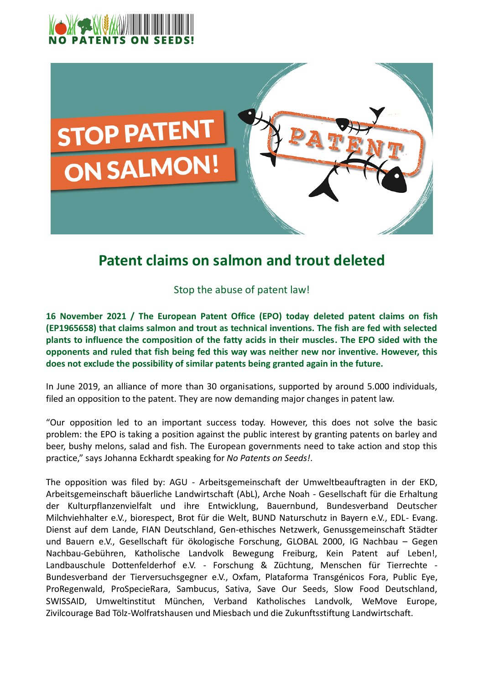



## **Patent claims on salmon and trout deleted**

Stop the abuse of patent law!

**16 November 2021 / The European Patent Office (EPO) today deleted patent claims on fish (EP1965658) that claims salmon and trout as technical inventions. The fish are fed with selected plants to influence the composition of the fatty acids in their muscles. The EPO sided with the opponents and ruled that fish being fed this way was neither new nor inventive. However, this does not exclude the possibility of similar patents being granted again in the future.** 

In June 2019, an alliance of more than 30 organisations, supported by around 5.000 individuals, filed an opposition to the patent. They are now demanding major changes in patent law.

"Our opposition led to an important success today. However, this does not solve the basic problem: the EPO is taking a position against the public interest by granting patents on barley and beer, bushy melons, salad and fish. The European governments need to take action and stop this practice," says Johanna Eckhardt speaking for *No Patents on Seeds!*.

The opposition was filed by: AGU - Arbeitsgemeinschaft der Umweltbeauftragten in der EKD, Arbeitsgemeinschaft bäuerliche Landwirtschaft (AbL), Arche Noah - Gesellschaft für die Erhaltung der Kulturpflanzenvielfalt und ihre Entwicklung, Bauernbund, Bundesverband Deutscher Milchviehhalter e.V., biorespect, Brot für die Welt, BUND Naturschutz in Bayern e.V., EDL- Evang. Dienst auf dem Lande, FIAN Deutschland, Gen-ethisches Netzwerk, Genussgemeinschaft Städter und Bauern e.V., Gesellschaft für ökologische Forschung, GLOBAL 2000, IG Nachbau – Gegen Nachbau-Gebühren, Katholische Landvolk Bewegung Freiburg, Kein Patent auf Leben!, Landbauschule Dottenfelderhof e.V. - Forschung & Züchtung, Menschen für Tierrechte - Bundesverband der Tierversuchsgegner e.V., Oxfam, Plataforma Transgénicos Fora, Public Eye, ProRegenwald, ProSpecieRara, Sambucus, Sativa, Save Our Seeds, Slow Food Deutschland, SWISSAID, Umweltinstitut München, Verband Katholisches Landvolk, WeMove Europe, Zivilcourage Bad Tölz-Wolfratshausen und Miesbach und die Zukunftsstiftung Landwirtschaft.